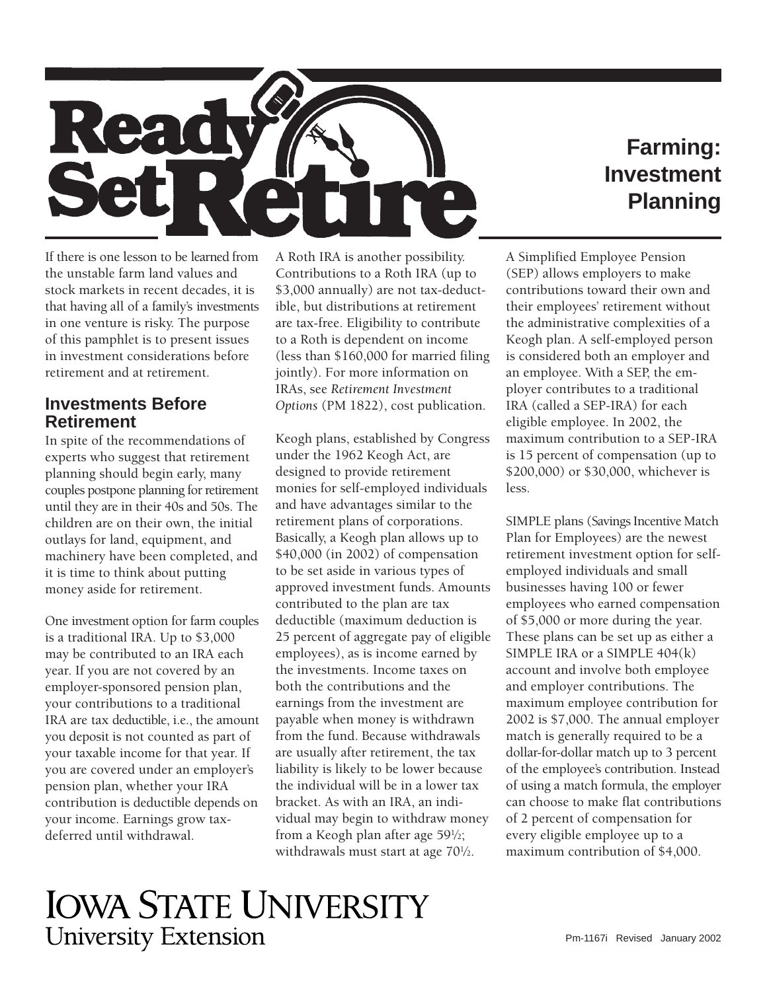

# **Farming: Investment Planning**

If there is one lesson to be learned from the unstable farm land values and stock markets in recent decades, it is that having all of a family's investments in one venture is risky. The purpose of this pamphlet is to present issues in investment considerations before retirement and at retirement.

#### **Investments Before Retirement**

In spite of the recommendations of experts who suggest that retirement planning should begin early, many couples postpone planning for retirement until they are in their 40s and 50s. The children are on their own, the initial outlays for land, equipment, and machinery have been completed, and it is time to think about putting money aside for retirement.

One investment option for farm couples is a traditional IRA. Up to \$3,000 may be contributed to an IRA each year. If you are not covered by an employer-sponsored pension plan, your contributions to a traditional IRA are tax deductible, i.e., the amount you deposit is not counted as part of your taxable income for that year. If you are covered under an employer's pension plan, whether your IRA contribution is deductible depends on your income. Earnings grow taxdeferred until withdrawal.

A Roth IRA is another possibility. Contributions to a Roth IRA (up to \$3,000 annually) are not tax-deductible, but distributions at retirement are tax-free. Eligibility to contribute to a Roth is dependent on income (less than \$160,000 for married filing jointly). For more information on IRAs, see *Retirement Investment Options* (PM 1822), cost publication.

Keogh plans, established by Congress under the 1962 Keogh Act, are designed to provide retirement monies for self-employed individuals and have advantages similar to the retirement plans of corporations. Basically, a Keogh plan allows up to \$40,000 (in 2002) of compensation to be set aside in various types of approved investment funds. Amounts contributed to the plan are tax deductible (maximum deduction is 25 percent of aggregate pay of eligible employees), as is income earned by the investments. Income taxes on both the contributions and the earnings from the investment are payable when money is withdrawn from the fund. Because withdrawals are usually after retirement, the tax liability is likely to be lower because the individual will be in a lower tax bracket. As with an IRA, an individual may begin to withdraw money from a Keogh plan after age 591 ⁄2; withdrawals must start at age  $70\frac{1}{2}$ .

A Simplified Employee Pension (SEP) allows employers to make contributions toward their own and their employees' retirement without the administrative complexities of a Keogh plan. A self-employed person is considered both an employer and an employee. With a SEP, the employer contributes to a traditional IRA (called a SEP-IRA) for each eligible employee. In 2002, the maximum contribution to a SEP-IRA is 15 percent of compensation (up to \$200,000) or \$30,000, whichever is less.

 of using a match formula, the employer SIMPLE plans (Savings Incentive Match Plan for Employees) are the newest retirement investment option for selfemployed individuals and small businesses having 100 or fewer employees who earned compensation of \$5,000 or more during the year. These plans can be set up as either a SIMPLE IRA or a SIMPLE 404(k) account and involve both employee and employer contributions. The maximum employee contribution for 2002 is \$7,000. The annual employer match is generally required to be a dollar-for-dollar match up to 3 percent of the employee's contribution. Instead can choose to make flat contributions of 2 percent of compensation for every eligible employee up to a maximum contribution of \$4,000.

# **IOWA STATE UNIVERSITY University Extension**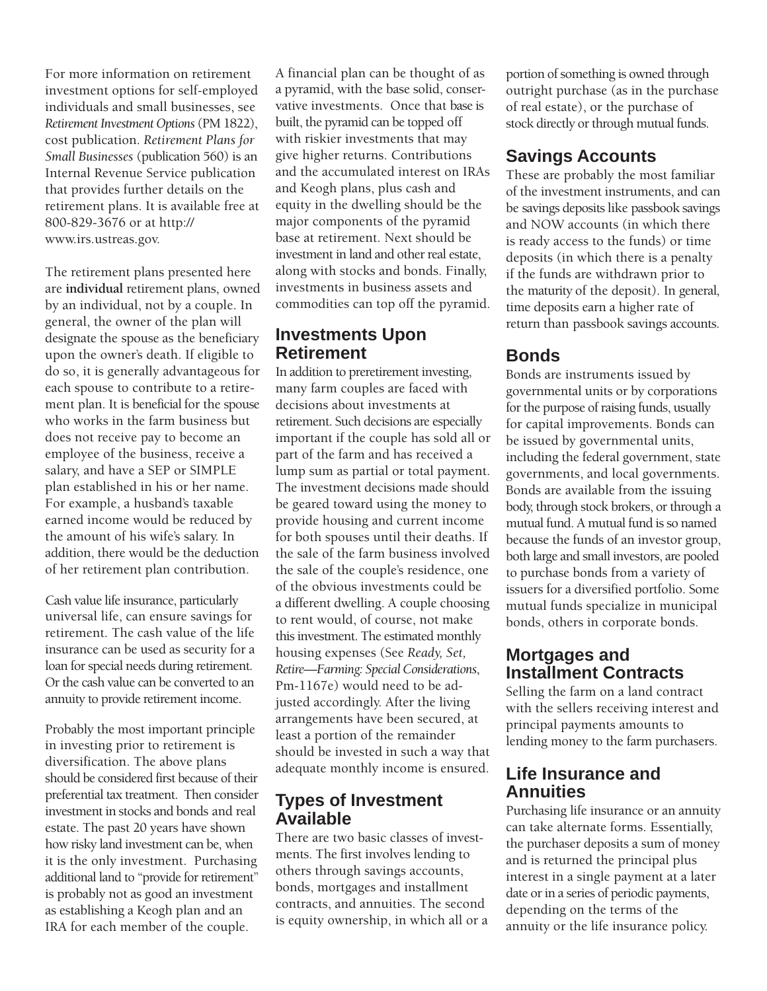For more information on retirement investment options for self-employed individuals and small businesses, see *Retirement Investment Options* (PM 1822), cost publication. *Retirement Plans for Small Businesses* (publication 560) is an Internal Revenue Service publication that provides further details on the retirement plans. It is available free at 800-829-3676 or at http:// [www.irs.ustreas.gov.](www.irs.ustreas.gov)

The retirement plans presented here are **individual** retirement plans, owned by an individual, not by a couple. In general, the owner of the plan will designate the spouse as the beneficiary upon the owner's death. If eligible to do so, it is generally advantageous for each spouse to contribute to a retirement plan. It is beneficial for the spouse who works in the farm business but does not receive pay to become an employee of the business, receive a salary, and have a SEP or SIMPLE plan established in his or her name. For example, a husband's taxable earned income would be reduced by the amount of his wife's salary. In addition, there would be the deduction of her retirement plan contribution.

Cash value life insurance, particularly universal life, can ensure savings for retirement. The cash value of the life insurance can be used as security for a loan for special needs during retirement. Or the cash value can be converted to an annuity to provide retirement income.

Probably the most important principle in investing prior to retirement is diversification. The above plans should be considered first because of their preferential tax treatment. Then consider investment in stocks and bonds and real estate. The past 20 years have shown how risky land investment can be, when it is the only investment. Purchasing additional land to "provide for retirement" is probably not as good an investment as establishing a Keogh plan and an IRA for each member of the couple.

A financial plan can be thought of as a pyramid, with the base solid, conservative investments. Once that base is built, the pyramid can be topped off with riskier investments that may give higher returns. Contributions and the accumulated interest on IRAs and Keogh plans, plus cash and equity in the dwelling should be the major components of the pyramid base at retirement. Next should be investment in land and other real estate, along with stocks and bonds. Finally, investments in business assets and commodities can top off the pyramid.

#### **Investments Upon Retirement**

In addition to preretirement investing, many farm couples are faced with decisions about investments at retirement. Such decisions are especially important if the couple has sold all or part of the farm and has received a lump sum as partial or total payment. The investment decisions made should be geared toward using the money to provide housing and current income for both spouses until their deaths. If the sale of the farm business involved the sale of the couple's residence, one of the obvious investments could be a different dwelling. A couple choosing to rent would, of course, not make this investment. The estimated monthly housing expenses (See *Ready, Set, Retire—Farming: Special Considerations*, Pm-1167e) would need to be adjusted accordingly. After the living arrangements have been secured, at least a portion of the remainder should be invested in such a way that adequate monthly income is ensured.

#### **Types of Investment Available**

There are two basic classes of investments. The first involves lending to others through savings accounts, bonds, mortgages and installment contracts, and annuities. The second is equity ownership, in which all or a portion of something is owned through outright purchase (as in the purchase of real estate), or the purchase of stock directly or through mutual funds.

# **Savings Accounts**

These are probably the most familiar of the investment instruments, and can be savings deposits like passbook savings and NOW accounts (in which there is ready access to the funds) or time deposits (in which there is a penalty if the funds are withdrawn prior to the maturity of the deposit). In general, time deposits earn a higher rate of return than passbook savings accounts.

# **Bonds**

Bonds are instruments issued by governmental units or by corporations for the purpose of raising funds, usually for capital improvements. Bonds can be issued by governmental units, including the federal government, state governments, and local governments. Bonds are available from the issuing body, through stock brokers, or through a mutual fund. A mutual fund is so named because the funds of an investor group, both large and small investors, are pooled to purchase bonds from a variety of issuers for a diversified portfolio. Some mutual funds specialize in municipal bonds, others in corporate bonds.

# **Mortgages and Installment Contracts**

Selling the farm on a land contract with the sellers receiving interest and principal payments amounts to lending money to the farm purchasers.

#### **Life Insurance and Annuities**

Purchasing life insurance or an annuity can take alternate forms. Essentially, the purchaser deposits a sum of money and is returned the principal plus interest in a single payment at a later date or in a series of periodic payments, depending on the terms of the annuity or the life insurance policy.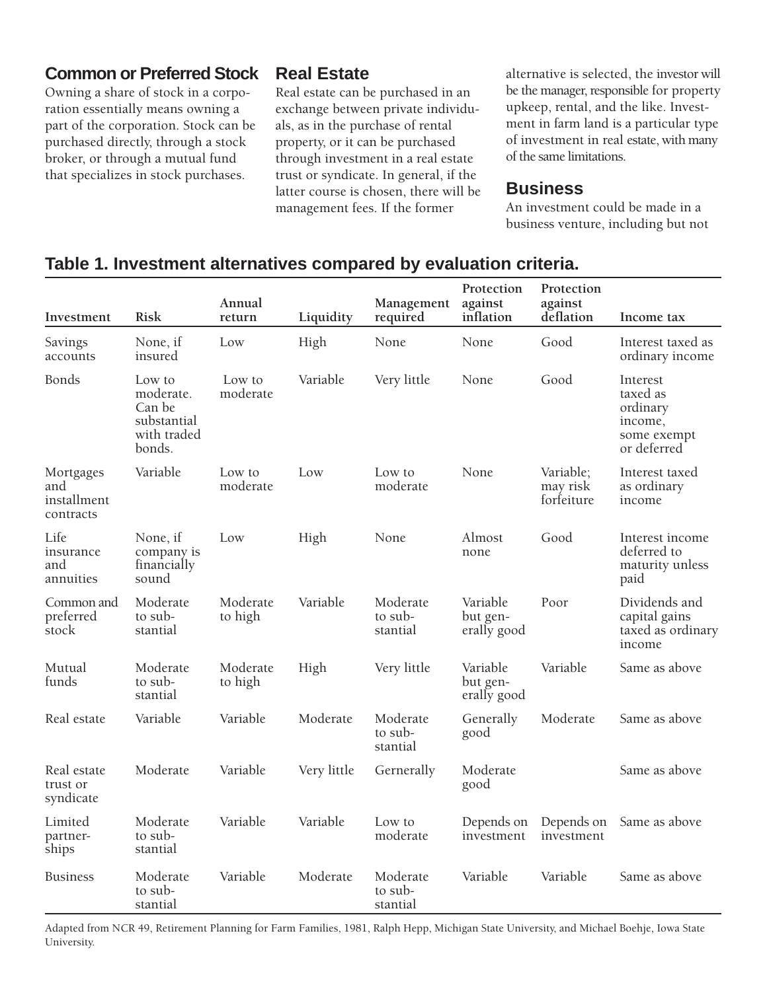#### **Common or Preferred Stock**

Owning a share of stock in a corporation essentially means owning a part of the corporation. Stock can be purchased directly, through a stock broker, or through a mutual fund that specializes in stock purchases.

#### **Real Estate**

Real estate can be purchased in an exchange between private individuals, as in the purchase of rental property, or it can be purchased through investment in a real estate trust or syndicate. In general, if the latter course is chosen, there will be management fees. If the former

alternative is selected, the investor will be the manager, responsible for property upkeep, rental, and the like. Investment in farm land is a particular type of investment in real estate, with many of the same limitations.

#### **Business**

An investment could be made in a business venture, including but not

## **Table 1. Investment alternatives compared by evaluation criteria.**

| Investment                                   | <b>Risk</b>                                                           | Annual<br>return    | Liquidity   | Management<br>required          | Protection<br>against<br>inflation  | Protection<br>against<br>deflation  | Income tax                                                                |
|----------------------------------------------|-----------------------------------------------------------------------|---------------------|-------------|---------------------------------|-------------------------------------|-------------------------------------|---------------------------------------------------------------------------|
| Savings<br>accounts                          | None, if<br>insured                                                   | Low                 | High        | None                            | None                                | Good                                | Interest taxed as<br>ordinary income                                      |
| <b>Bonds</b>                                 | Low to<br>moderate.<br>Can be<br>substantial<br>with traded<br>bonds. | Low to<br>moderate  | Variable    | Very little                     | None                                | Good                                | Interest<br>taxed as<br>ordinary<br>income,<br>some exempt<br>or deferred |
| Mortgages<br>and<br>installment<br>contracts | Variable                                                              | Low to<br>moderate  | Low         | Low to<br>moderate              | None                                | Variable;<br>may risk<br>forfeiture | Interest taxed<br>as ordinary<br>income                                   |
| Life<br>insurance<br>and<br>annuities        | None, if<br>company is<br>financially<br>sound                        | Low                 | High        | None                            | Almost<br>none                      | Good                                | Interest income<br>deferred to<br>maturity unless<br>paid                 |
| Common and<br>preferred<br>stock             | Moderate<br>to sub-<br>stantial                                       | Moderate<br>to high | Variable    | Moderate<br>to sub-<br>stantial | Variable<br>but gen-<br>erally good | Poor                                | Dividends and<br>capital gains<br>taxed as ordinary<br>income             |
| Mutual<br>funds                              | Moderate<br>to sub-<br>stantial                                       | Moderate<br>to high | High        | Very little                     | Variable<br>but gen-<br>erally good | Variable                            | Same as above                                                             |
| Real estate                                  | Variable                                                              | Variable            | Moderate    | Moderate<br>to sub-<br>stantial | Generally<br>good                   | Moderate                            | Same as above                                                             |
| Real estate<br>trust or<br>syndicate         | Moderate                                                              | Variable            | Very little | Gernerally                      | Moderate<br>good                    |                                     | Same as above                                                             |
| Limited<br>partner-<br>ships                 | Moderate<br>to sub-<br>stantial                                       | Variable            | Variable    | Low to<br>moderate              | Depends on<br>investment            | Depends on<br>investment            | Same as above                                                             |
| <b>Business</b>                              | Moderate<br>to sub-<br>stantial                                       | Variable            | Moderate    | Moderate<br>to sub-<br>stantial | Variable                            | Variable                            | Same as above                                                             |

Adapted from NCR 49, Retirement Planning for Farm Families, 1981, Ralph Hepp, Michigan State University, and Michael Boehje, Iowa State University.